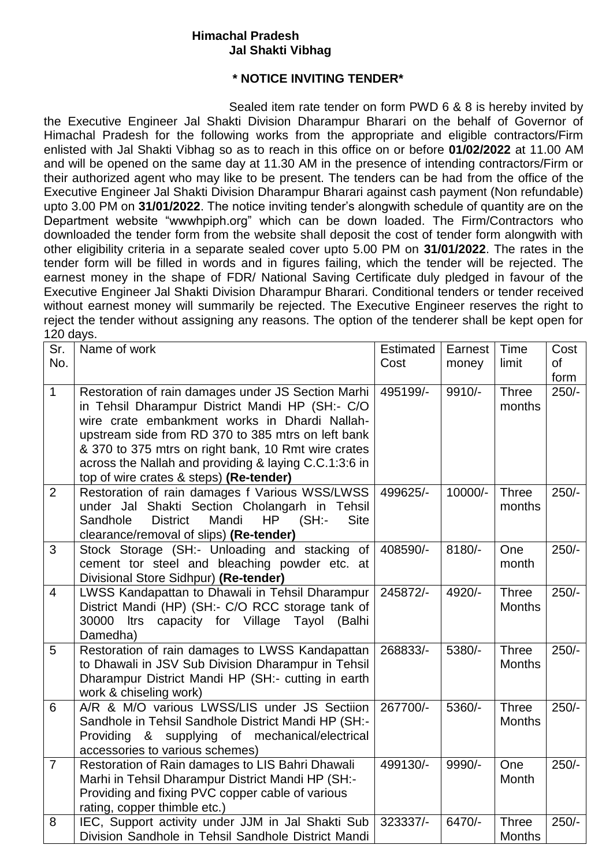## **Himachal Pradesh Jal Shakti Vibhag**

## **\* NOTICE INVITING TENDER\***

Sealed item rate tender on form PWD 6 & 8 is hereby invited by the Executive Engineer Jal Shakti Division Dharampur Bharari on the behalf of Governor of Himachal Pradesh for the following works from the appropriate and eligible contractors/Firm enlisted with Jal Shakti Vibhag so as to reach in this office on or before **01/02/2022** at 11.00 AM and will be opened on the same day at 11.30 AM in the presence of intending contractors/Firm or their authorized agent who may like to be present. The tenders can be had from the office of the Executive Engineer Jal Shakti Division Dharampur Bharari against cash payment (Non refundable) upto 3.00 PM on **31/01/2022**. The notice inviting tender's alongwith schedule of quantity are on the Department website "wwwhpiph.org" which can be down loaded. The Firm/Contractors who downloaded the tender form from the website shall deposit the cost of tender form alongwith with other eligibility criteria in a separate sealed cover upto 5.00 PM on **31/01/2022**. The rates in the tender form will be filled in words and in figures failing, which the tender will be rejected. The earnest money in the shape of FDR/ National Saving Certificate duly pledged in favour of the Executive Engineer Jal Shakti Division Dharampur Bharari. Conditional tenders or tender received without earnest money will summarily be rejected. The Executive Engineer reserves the right to reject the tender without assigning any reasons. The option of the tenderer shall be kept open for 120 days.

| Sr.<br>No.     | Name of work                                                                                                                                                                                                                                                                                                                                                            | Estimated<br>Cost | Earnest<br>money | Time<br>limit                 | Cost<br><b>of</b><br>form |
|----------------|-------------------------------------------------------------------------------------------------------------------------------------------------------------------------------------------------------------------------------------------------------------------------------------------------------------------------------------------------------------------------|-------------------|------------------|-------------------------------|---------------------------|
| $\mathbf{1}$   | Restoration of rain damages under JS Section Marhi<br>in Tehsil Dharampur District Mandi HP (SH:- C/O<br>wire crate embankment works in Dhardi Nallah-<br>upstream side from RD 370 to 385 mtrs on left bank<br>& 370 to 375 mtrs on right bank, 10 Rmt wire crates<br>across the Nallah and providing & laying C.C.1:3:6 in<br>top of wire crates & steps) (Re-tender) | 495199/-          | 9910/-           | <b>Three</b><br>months        | $250/-$                   |
| $\overline{2}$ | Restoration of rain damages f Various WSS/LWSS<br>under Jal Shakti Section Cholangarh in Tehsil<br>Sandhole<br><b>District</b><br>Mandi<br>HP<br>(SH)<br><b>Site</b><br>clearance/removal of slips) (Re-tender)                                                                                                                                                         | 499625/-          | 10000/-          | <b>Three</b><br>months        | $250/-$                   |
| 3              | Stock Storage (SH:- Unloading and stacking of<br>cement tor steel and bleaching powder etc. at<br>Divisional Store Sidhpur) (Re-tender)                                                                                                                                                                                                                                 | 408590/-          | 8180/-           | One<br>month                  | $250/-$                   |
| $\overline{4}$ | LWSS Kandapattan to Dhawali in Tehsil Dharampur<br>District Mandi (HP) (SH:- C/O RCC storage tank of<br>capacity for Village Tayol<br>(Balhi<br>30000<br>ltrs<br>Damedha)                                                                                                                                                                                               | 245872/-          | 4920/-           | <b>Three</b><br><b>Months</b> | $250/-$                   |
| 5              | Restoration of rain damages to LWSS Kandapattan<br>to Dhawali in JSV Sub Division Dharampur in Tehsil<br>Dharampur District Mandi HP (SH:- cutting in earth<br>work & chiseling work)                                                                                                                                                                                   | 268833/-          | 5380/-           | <b>Three</b><br><b>Months</b> | $250/-$                   |
| 6              | A/R & M/O various LWSS/LIS under JS Sectiion<br>Sandhole in Tehsil Sandhole District Mandi HP (SH:-<br>Providing & supplying of mechanical/electrical<br>accessories to various schemes)                                                                                                                                                                                | 267700/-          | 5360/-           | <b>Three</b><br><b>Months</b> | $250/-$                   |
| $\overline{7}$ | Restoration of Rain damages to LIS Bahri Dhawali<br>Marhi in Tehsil Dharampur District Mandi HP (SH:-<br>Providing and fixing PVC copper cable of various<br>rating, copper thimble etc.)                                                                                                                                                                               | 499130/-          | 9990/-           | One<br>Month                  | $250/-$                   |
| 8              | IEC, Support activity under JJM in Jal Shakti Sub<br>Division Sandhole in Tehsil Sandhole District Mandi                                                                                                                                                                                                                                                                | 323337/-          | 6470/-           | <b>Three</b><br><b>Months</b> | $250/-$                   |